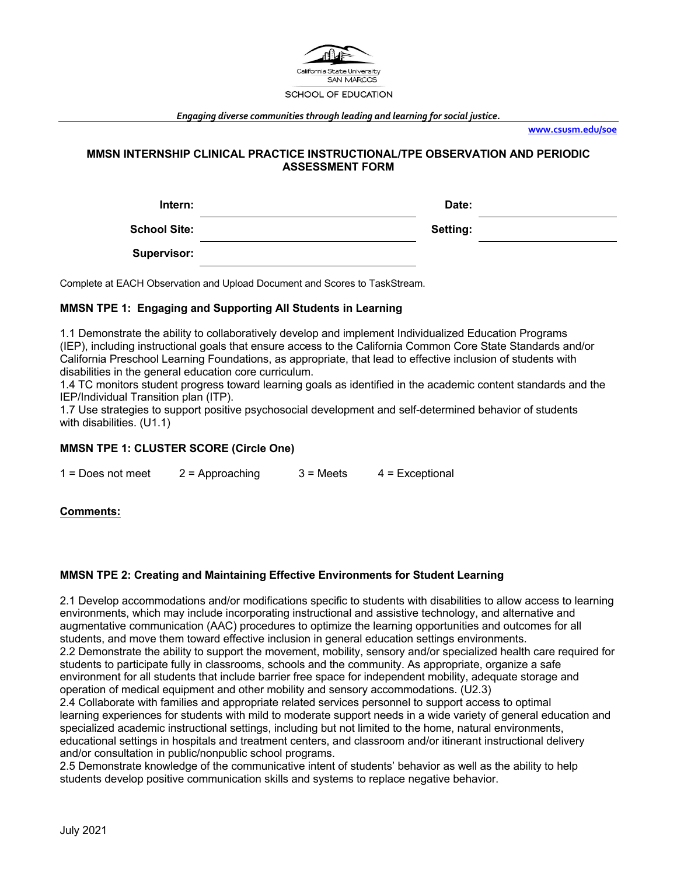

*Engaging diverse communities through leading and learning for social justice.*

**www.csusm.edu/soe**

# **MMSN INTERNSHIP CLINICAL PRACTICE INSTRUCTIONAL/TPE OBSERVATION AND PERIODIC ASSESSMENT FORM**

| Intern:             | Date:           |  |
|---------------------|-----------------|--|
| <b>School Site:</b> | <b>Setting:</b> |  |
| <b>Supervisor:</b>  |                 |  |

Complete at EACH Observation and Upload Document and Scores to TaskStream.

# **MMSN TPE 1: Engaging and Supporting All Students in Learning**

1.1 Demonstrate the ability to collaboratively develop and implement Individualized Education Programs (IEP), including instructional goals that ensure access to the California Common Core State Standards and/or California Preschool Learning Foundations, as appropriate, that lead to effective inclusion of students with disabilities in the general education core curriculum.

1.4 TC monitors student progress toward learning goals as identified in the academic content standards and the IEP/Individual Transition plan (ITP).

1.7 Use strategies to support positive psychosocial development and self-determined behavior of students with disabilities. (U1.1)

# **MMSN TPE 1: CLUSTER SCORE (Circle One)**

 $1 =$  Does not meet  $2 =$  Approaching  $3 =$  Meets  $4 =$  Exceptional

# **Comments:**

### **MMSN TPE 2: Creating and Maintaining Effective Environments for Student Learning**

2.1 Develop accommodations and/or modifications specific to students with disabilities to allow access to learning environments, which may include incorporating instructional and assistive technology, and alternative and augmentative communication (AAC) procedures to optimize the learning opportunities and outcomes for all students, and move them toward effective inclusion in general education settings environments. 2.2 Demonstrate the ability to support the movement, mobility, sensory and/or specialized health care required for students to participate fully in classrooms, schools and the community. As appropriate, organize a safe environment for all students that include barrier free space for independent mobility, adequate storage and operation of medical equipment and other mobility and sensory accommodations. (U2.3) 2.4 Collaborate with families and appropriate related services personnel to support access to optimal learning experiences for students with mild to moderate support needs in a wide variety of general education and specialized academic instructional settings, including but not limited to the home, natural environments,

educational settings in hospitals and treatment centers, and classroom and/or itinerant instructional delivery and/or consultation in public/nonpublic school programs.

2.5 Demonstrate knowledge of the communicative intent of students' behavior as well as the ability to help students develop positive communication skills and systems to replace negative behavior.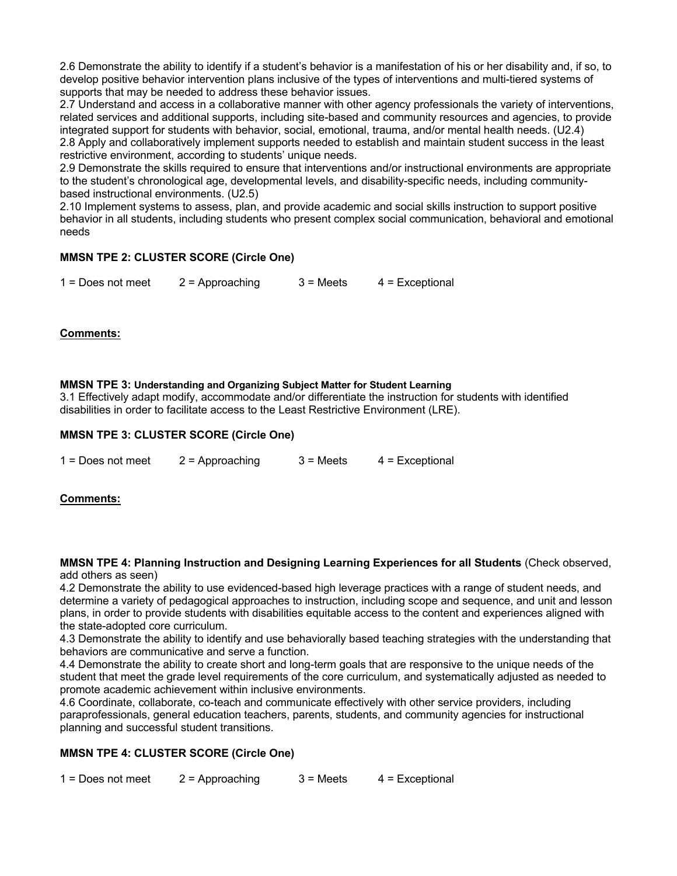2.6 Demonstrate the ability to identify if a student's behavior is a manifestation of his or her disability and, if so, to develop positive behavior intervention plans inclusive of the types of interventions and multi-tiered systems of supports that may be needed to address these behavior issues.

2.7 Understand and access in a collaborative manner with other agency professionals the variety of interventions, related services and additional supports, including site-based and community resources and agencies, to provide integrated support for students with behavior, social, emotional, trauma, and/or mental health needs. (U2.4) 2.8 Apply and collaboratively implement supports needed to establish and maintain student success in the least restrictive environment, according to students' unique needs.

2.9 Demonstrate the skills required to ensure that interventions and/or instructional environments are appropriate to the student's chronological age, developmental levels, and disability-specific needs, including communitybased instructional environments. (U2.5)

2.10 Implement systems to assess, plan, and provide academic and social skills instruction to support positive behavior in all students, including students who present complex social communication, behavioral and emotional needs

# **MMSN TPE 2: CLUSTER SCORE (Circle One)**

 $1 =$  Does not meet  $2 =$  Approaching  $3 =$  Meets  $4 =$  Exceptional

# **Comments:**

### **MMSN TPE 3: Understanding and Organizing Subject Matter for Student Learning**

3.1 Effectively adapt modify, accommodate and/or differentiate the instruction for students with identified disabilities in order to facilitate access to the Least Restrictive Environment (LRE).

# **MMSN TPE 3: CLUSTER SCORE (Circle One)**

| $1 = Does not meet$ | $2$ = Approaching | $3 =$ Meets | $4$ = Exceptional |
|---------------------|-------------------|-------------|-------------------|
|---------------------|-------------------|-------------|-------------------|

### **Comments:**

#### **MMSN TPE 4: Planning Instruction and Designing Learning Experiences for all Students** (Check observed, add others as seen)

4.2 Demonstrate the ability to use evidenced-based high leverage practices with a range of student needs, and determine a variety of pedagogical approaches to instruction, including scope and sequence, and unit and lesson plans, in order to provide students with disabilities equitable access to the content and experiences aligned with the state-adopted core curriculum.

4.3 Demonstrate the ability to identify and use behaviorally based teaching strategies with the understanding that behaviors are communicative and serve a function.

4.4 Demonstrate the ability to create short and long-term goals that are responsive to the unique needs of the student that meet the grade level requirements of the core curriculum, and systematically adjusted as needed to promote academic achievement within inclusive environments.

4.6 Coordinate, collaborate, co-teach and communicate effectively with other service providers, including paraprofessionals, general education teachers, parents, students, and community agencies for instructional planning and successful student transitions.

### **MMSN TPE 4: CLUSTER SCORE (Circle One)**

 $1 =$  Does not meet  $2 =$  Approaching  $3 =$  Meets  $4 =$  Exceptional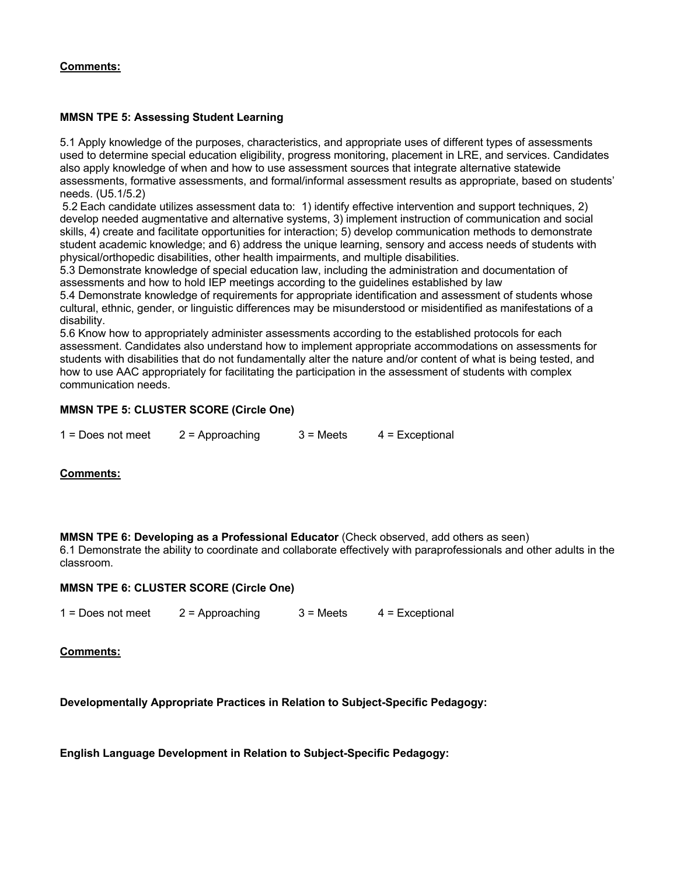# **Comments:**

# **MMSN TPE 5: Assessing Student Learning**

5.1 Apply knowledge of the purposes, characteristics, and appropriate uses of different types of assessments used to determine special education eligibility, progress monitoring, placement in LRE, and services. Candidates also apply knowledge of when and how to use assessment sources that integrate alternative statewide assessments, formative assessments, and formal/informal assessment results as appropriate, based on students' needs. (U5.1/5.2)

5.2 Each candidate utilizes assessment data to: 1) identify effective intervention and support techniques, 2) develop needed augmentative and alternative systems, 3) implement instruction of communication and social skills, 4) create and facilitate opportunities for interaction; 5) develop communication methods to demonstrate student academic knowledge; and 6) address the unique learning, sensory and access needs of students with physical/orthopedic disabilities, other health impairments, and multiple disabilities.

5.3 Demonstrate knowledge of special education law, including the administration and documentation of assessments and how to hold IEP meetings according to the guidelines established by law

5.4 Demonstrate knowledge of requirements for appropriate identification and assessment of students whose cultural, ethnic, gender, or linguistic differences may be misunderstood or misidentified as manifestations of a disability.

5.6 Know how to appropriately administer assessments according to the established protocols for each assessment. Candidates also understand how to implement appropriate accommodations on assessments for students with disabilities that do not fundamentally alter the nature and/or content of what is being tested, and how to use AAC appropriately for facilitating the participation in the assessment of students with complex communication needs.

# **MMSN TPE 5: CLUSTER SCORE (Circle One)**

| $1 = Does not meet$ | $2$ = Approaching | $3 =$ Meets | $4$ = Exceptional |
|---------------------|-------------------|-------------|-------------------|
|                     |                   |             |                   |

### **Comments:**

**MMSN TPE 6: Developing as a Professional Educator** (Check observed, add others as seen)

6.1 Demonstrate the ability to coordinate and collaborate effectively with paraprofessionals and other adults in the classroom.

### **MMSN TPE 6: CLUSTER SCORE (Circle One)**

 $1 = \text{Does not meet}$  2 = Approaching  $3 = \text{Meets}$  4 = Exceptional

**Comments:**

**Developmentally Appropriate Practices in Relation to Subject-Specific Pedagogy:**

**English Language Development in Relation to Subject-Specific Pedagogy:**